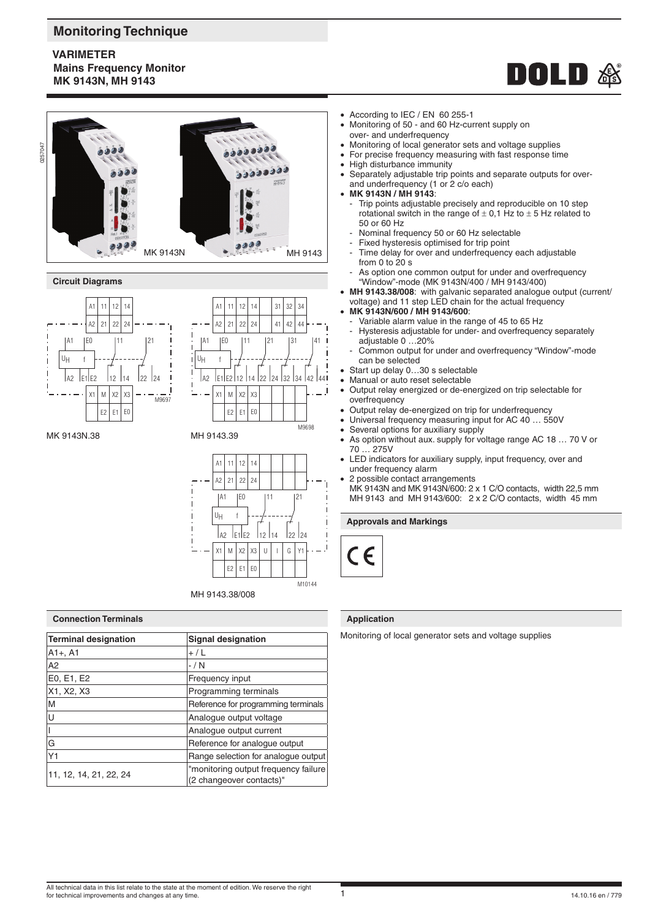# **Monitoring Technique**

# **VARIMETER Mains Frequency Monitor MK 9143N, MH 9143**





### **Circuit Diagrams**





MK 9143N.38 MH 9143.39



#### **Connection Terminals**

| <b>Terminal designation</b> | <b>Signal designation</b>                                        |
|-----------------------------|------------------------------------------------------------------|
| $A1+, A1$                   | $+ / L$                                                          |
| A <sub>2</sub>              | $-$ / N                                                          |
| E0, E1, E2                  | Frequency input                                                  |
| X1, X2, X3                  | Programming terminals                                            |
| M                           | Reference for programming terminals                              |
| U                           | Analogue output voltage                                          |
|                             | Analogue output current                                          |
| G                           | Reference for analogue output                                    |
| Y1                          | Range selection for analogue output                              |
| 11, 12, 14, 21, 22, 24      | "monitoring output frequency failure<br>(2 changeover contacts)" |

- According to IEC / EN 60 255-1
- Monitoring of 50 and 60 Hz-current supply on over- and underfrequency
- Monitoring of local generator sets and voltage supplies
- For precise frequency measuring with fast response time
- High disturbance immunity
- Separately adjustable trip points and separate outputs for overand underfrequency (1 or 2 c/o each)
- **MK 9143N / MH 9143**:
- Trip points adjustable precisely and reproducible on 10 step rotational switch in the range of  $\pm$  0,1 Hz to  $\pm$  5 Hz related to 50 or 60 Hz
- Nominal frequency 50 or 60 Hz selectable
- Fixed hysteresis optimised for trip point
- Time delay for over and underfrequency each adjustable from 0 to 20 s
- As option one common output for under and overfrequency "Window"-mode (MK 9143N/400 / MH 9143/400)
- **MH 9143.38/008**: with galvanic separated analogue output (current/ voltage) and 11 step LED chain for the actual frequency
- **MK 9143N/600 / MH 9143/600**:
	- Variable alarm value in the range of 45 to 65 Hz Hysteresis adjustable for under- and overfrequency separately adjustable 0 …20%
	- Common output for under and overfrequency "Window"-mode can be selected
- Start up delay 0...30 s selectable
- Manual or auto reset selectable
- Output relay energized or de-energized on trip selectable for overfrequency
- Output relay de-energized on trip for underfrequency
- Universal frequency measuring input for AC 40 ... 550V
- Several options for auxiliary supply
- As option without aux. supply for voltage range AC 18 … 70 V or 70 … 275V
- LED indicators for auxiliary supply, input frequency, over and under frequency alarm
- 2 possible contact arrangements MK 9143N and MK 9143N/600: 2 x 1 C/O contacts, width 22,5 mm MH 9143 and MH 9143/600: 2 x 2 C/O contacts, width 45 mm

# **Approvals and Markings**



### **Application**

Monitoring of local generator sets and voltage supplies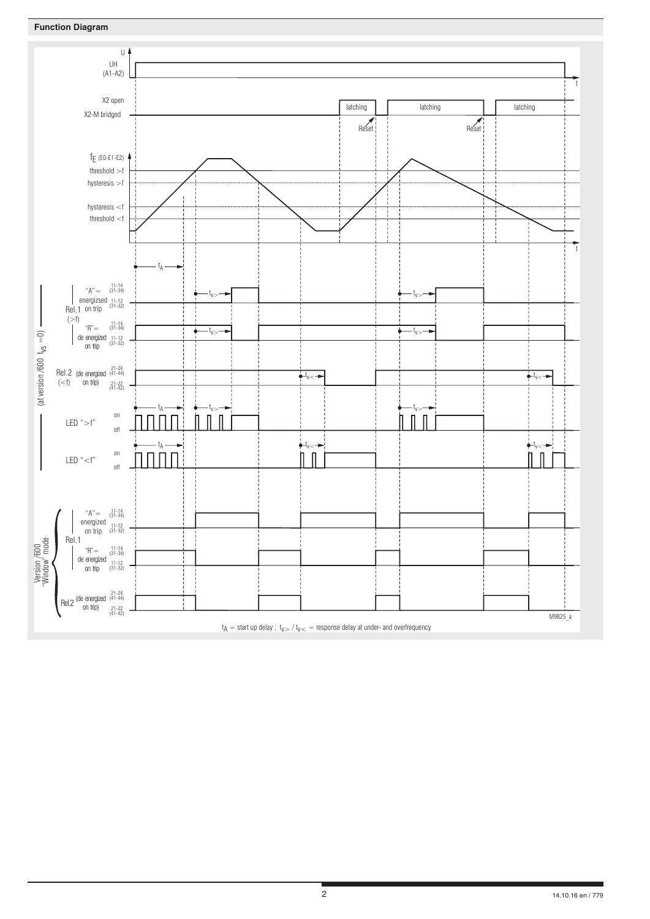

# $t_A =$  start up delay ;  $t_{V>} / t_{V<} =$  response delay at under- and overfrequency

t

t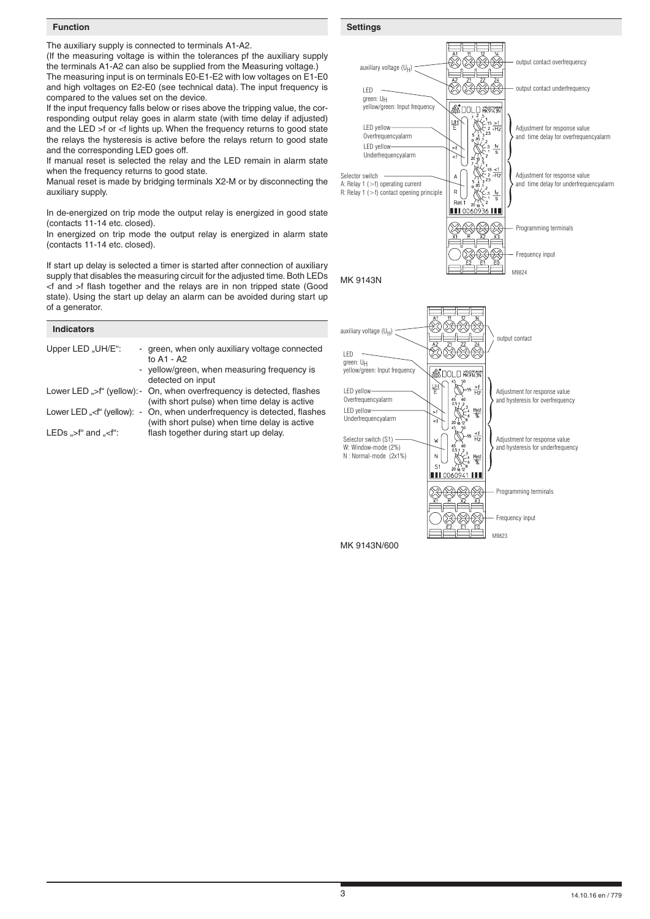### **Function**

The auxiliary supply is connected to terminals A1-A2.

(If the measuring voltage is within the tolerances pf the auxiliary supply the terminals A1-A2 can also be supplied from the Measuring voltage.) The measuring input is on terminals E0-E1-E2 with low voltages on E1-E0 and high voltages on E2-E0 (see technical data). The input frequency is compared to the values set on the device.

If the input frequency falls below or rises above the tripping value, the corresponding output relay goes in alarm state (with time delay if adjusted) and the LED >f or <f lights up. When the frequency returns to good state the relays the hysteresis is active before the relays return to good state and the corresponding LED goes off.

If manual reset is selected the relay and the LED remain in alarm state when the frequency returns to good state.

Manual reset is made by bridging terminals X2-M or by disconnecting the auxiliary supply.

In de-energized on trip mode the output relay is energized in good state (contacts 11-14 etc. closed).

In energized on trip mode the output relay is energized in alarm state (contacts 11-14 etc. closed).

If start up delay is selected a timer is started after connection of auxiliary supply that disables the measuring circuit for the adjusted time. Both LEDs <f and >f flash together and the relays are in non tripped state (Good state). Using the start up delay an alarm can be avoided during start up of a generator.

| <b>Indicators</b>                                                                                                                                    |                                                                                                                                  |
|------------------------------------------------------------------------------------------------------------------------------------------------------|----------------------------------------------------------------------------------------------------------------------------------|
| Upper LED "UH/E":                                                                                                                                    | - green, when only auxiliary voltage connected<br>to A1 - A2<br>- yellow/green, when measuring frequency is<br>detected on input |
|                                                                                                                                                      | Lower LED ">f" (yellow): - On, when overfrequency is detected, flashes<br>(with short pulse) when time delay is active           |
| Lower LED " <f" (yellow):="" -<="" td=""><td>On, when underfrequency is detected, flashes<br/>(with short pulse) when time delay is active</td></f"> | On, when underfrequency is detected, flashes<br>(with short pulse) when time delay is active                                     |
| LEDs $\mathscr{F}$ and $\mathscr{F}$ :                                                                                                               | flash together during start up delay.                                                                                            |



MK 9143N/600

**Settings**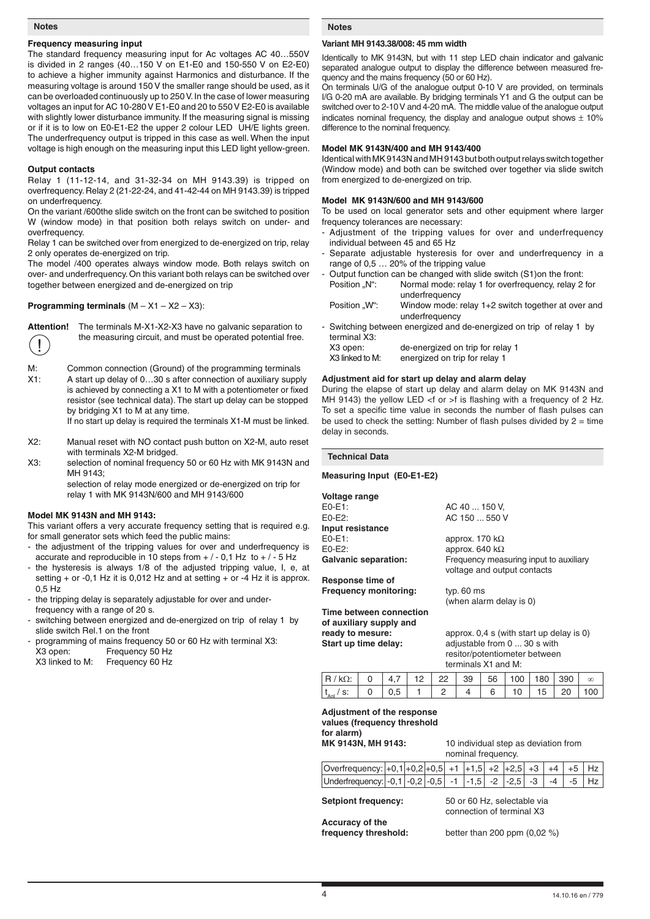#### **Notes**

# **Frequency measuring input**

The standard frequency measuring input for Ac voltages AC 40…550V is divided in 2 ranges (40…150 V on E1-E0 and 150-550 V on E2-E0) to achieve a higher immunity against Harmonics and disturbance. If the measuring voltage is around 150 V the smaller range should be used, as it can be overloaded continuously up to 250 V. In the case of lower measuring voltages an input for AC 10-280 V E1-E0 and 20 to 550 V E2-E0 is available with slightly lower disturbance immunity. If the measuring signal is missing or if it is to low on E0-E1-E2 the upper 2 colour LED UH/E lights green. The underfrequency output is tripped in this case as well. When the input voltage is high enough on the measuring input this LED light yellow-green.

#### **Output contacts**

Relay 1 (11-12-14, and 31-32-34 on MH 9143.39) is tripped on overfrequency. Relay 2 (21-22-24, and 41-42-44 on MH 9143.39) is tripped on underfrequency.

On the variant /600the slide switch on the front can be switched to position W (window mode) in that position both relays switch on under- and overfrequency.

Relay 1 can be switched over from energized to de-energized on trip, relay 2 only operates de-energized on trip.

The model /400 operates always window mode. Both relays switch on over- and underfrequency. On this variant both relays can be switched over together between energized and de-energized on trip

### **Programming terminals** (M – X1 – X2 – X3):



**Attention!** The terminals M-X1-X2-X3 have no galvanic separation to the measuring circuit, and must be operated potential free.

M: Common connection (Ground) of the programming terminals X1: A start up delay of 0…30 s after connection of auxiliary supply is achieved by connecting a X1 to M with a potentiometer or fixed resistor (see technical data). The start up delay can be stopped by bridging X1 to M at any time.

If no start up delay is required the terminals X1-M must be linked.

- X2: Manual reset with NO contact push button on X2-M, auto reset with terminals X2-M bridged.
- X3: selection of nominal frequency 50 or 60 Hz with MK 9143N and MH 9143;

selection of relay mode energized or de-energized on trip for relay 1 with MK 9143N/600 and MH 9143/600

#### **Model MK 9143N and MH 9143:**

This variant offers a very accurate frequency setting that is required e.g. for small generator sets which feed the public mains:

- the adjustment of the tripping values for over and underfrequency is accurate and reproducible in 10 steps from  $+/-0.1$  Hz to  $+/-5$  Hz
- the hysteresis is always 1/8 of the adjusted tripping value, I, e, at setting  $+$  or -0,1 Hz it is 0,012 Hz and at setting  $+$  or -4 Hz it is approx. 0,5 Hz
- the tripping delay is separately adjustable for over and underfrequency with a range of 20 s.
- switching between energized and de-energized on trip of relay 1 by slide switch Rel.1 on the front
- programming of mains frequency 50 or 60 Hz with terminal X3:
- X3 open: Frequency 50 Hz<br>X3 linked to M: Frequency 60 Hz Frequency 60 Hz

**Notes**

### **Variant MH 9143.38/008: 45 mm width**

Identically to MK 9143N, but with 11 step LED chain indicator and galvanic separated analogue output to display the difference between measured frequency and the mains frequency (50 or 60 Hz).

On terminals U/G of the analogue output 0-10 V are provided, on terminals I/G 0-20 mA are available. By bridging terminals Y1 and G the output can be switched over to 2-10 V and 4-20 mA. The middle value of the analogue output indicates nominal frequency, the display and analogue output shows  $\pm$  10% difference to the nominal frequency.

## **Model MK 9143N/400 and MH 9143/400**

Identical with MK 9143N and MH 9143 but both output relays switch together (Window mode) and both can be switched over together via slide switch from energized to de-energized on trip.

### **Model MK 9143N/600 and MH 9143/600**

To be used on local generator sets and other equipment where larger frequency tolerances are necessary:

- Adjustment of the tripping values for over and underfrequency individual between 45 and 65 Hz
- Separate adjustable hysteresis for over and underfrequency in a range of 0,5 … 20% of the tripping value
- Output function can be changed with slide switch (S1)on the front: Position "N": Normal mode: relay 1 for overfrequency, relay 2 for underfrequency
- Position "W": Window mode: relay 1+2 switch together at over and underfrequency
- Switching between energized and de-energized on trip of relay 1 by terminal X3:

| X3 open:        | de-energized on trip for relay 1 |
|-----------------|----------------------------------|
| X3 linked to M: | energized on trip for relay 1    |

### **Adjustment aid for start up delay and alarm delay**

During the elapse of start up delay and alarm delay on MK 9143N and MH 9143) the yellow LED <f or >f is flashing with a frequency of 2 Hz. To set a specific time value in seconds the number of flash pulses can be used to check the setting: Number of flash pulses divided by  $2 =$  time delay in seconds.

**Technical Data**

**Measuring Input (E0-E1-E2)**

| Voltage range                |                                                |
|------------------------------|------------------------------------------------|
| $E0-E1$ :                    | AC 40  150 V.                                  |
| $E0-E2$ :                    | AC 150  550 V                                  |
| Input resistance             |                                                |
| $E0-E1$ :                    | approx. 170 k $\Omega$                         |
| $E0-E2$ :                    | approx. 640 k $\Omega$                         |
| <b>Galvanic separation:</b>  | Frequency measuring input to auxiliary         |
|                              | voltage and output contacts                    |
| Response time of             |                                                |
| <b>Frequency monitoring:</b> | typ. $60$ ms                                   |
|                              | (when alarm delay is 0)                        |
| Time between connection      |                                                |
| of auxiliary supply and      |                                                |
| ready to mesure:             | approx. $0.4$ s (with start up delay is 0)     |
| Chaut un time adalaus        | $\sim$ diusteble from $\Omega$ $\Omega$ e with |

**Start up time delay:** adjustable from 0 ... 30 s with resitor/potentiometer between terminals X1 and M:

|                                 | $\Lambda$<br>т. | 22 | 39 | 56 | JU | 80  | 390 | $\infty$ |
|---------------------------------|-----------------|----|----|----|----|-----|-----|----------|
| $t_{\text{An}}$<br>$\sim$<br>v. |                 |    |    |    | 0  | 15. |     |          |

# **Adjustment of the response values (frequency threshold for alarm)**

**MK 9143N, MH 9143:** 10 individual step as deviation from nominal frequency.

| Overfrequency: $\left  +0,1 \right  +0,2 \left  +0,5 \right  +1$ $\left  +1,5 \right  +2$ $\left  +2,5 \right  +3$ $\left  +4 \right  +5$ $\left  +2 \right $ |  |  |  |  |  |  |
|---------------------------------------------------------------------------------------------------------------------------------------------------------------|--|--|--|--|--|--|
| Underfrequency: -0,1 -0,2 -0,5 -1 -1,5 -2 -2,5 -3 -4 -5 Hz                                                                                                    |  |  |  |  |  |  |
|                                                                                                                                                               |  |  |  |  |  |  |

**Setpiont frequency:** 50 or 60 Hz, selectable via

**Accuracy of the**

connection of terminal X3

**frequency threshold:** better than 200 ppm (0,02 %)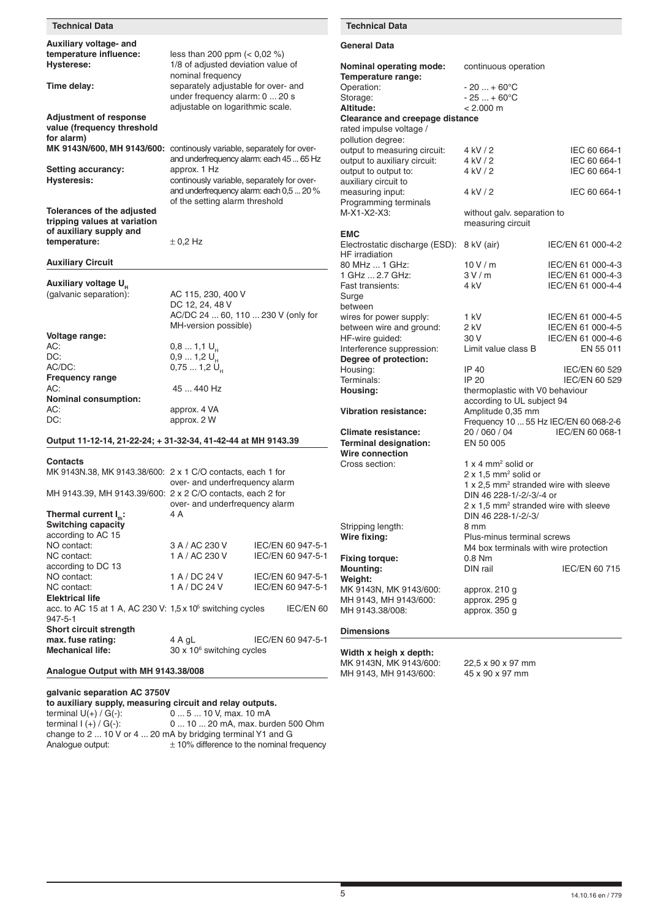| <b>Technical Data</b>                                                 |                                                                            |                                          | <b>Technical Data</b>                           |                                                                                  |                                        |
|-----------------------------------------------------------------------|----------------------------------------------------------------------------|------------------------------------------|-------------------------------------------------|----------------------------------------------------------------------------------|----------------------------------------|
| Auxiliary voltage- and<br>temperature influence:                      | less than 200 ppm $(< 0.02$ %)                                             |                                          | <b>General Data</b>                             |                                                                                  |                                        |
| <b>Hysterese:</b>                                                     | 1/8 of adjusted deviation value of<br>nominal frequency                    |                                          | Nominal operating mode:<br>Temperature range:   | continuous operation                                                             |                                        |
| Time delay:                                                           | separately adjustable for over- and                                        |                                          | Operation:                                      | $-20+60^{\circ}C$                                                                |                                        |
|                                                                       | under frequency alarm: 0  20 s                                             |                                          | Storage:                                        | $-25+60^{\circ}C$                                                                |                                        |
|                                                                       | adjustable on logarithmic scale.                                           |                                          | Altitude:                                       | < 2.000 m                                                                        |                                        |
| <b>Adjustment of response</b>                                         |                                                                            |                                          | <b>Clearance and creepage distance</b>          |                                                                                  |                                        |
| value (frequency threshold<br>for alarm)                              |                                                                            |                                          | rated impulse voltage /<br>pollution degree:    |                                                                                  |                                        |
| MK 9143N/600, MH 9143/600: continously variable, separately for over- |                                                                            |                                          | output to measuring circuit:                    | 4 kV / 2                                                                         | IEC 60 664-1                           |
|                                                                       |                                                                            | and underfrequency alarm: each 45  65 Hz | output to auxiliary circuit:                    | 4 kV / 2                                                                         | IEC 60 664-1                           |
| <b>Setting accurancy:</b>                                             | approx. 1 Hz                                                               |                                          | output to output to:                            | 4 kV / 2                                                                         | IEC 60 664-1                           |
| <b>Hysteresis:</b>                                                    | continously variable, separately for over-                                 |                                          | auxiliary circuit to                            |                                                                                  |                                        |
|                                                                       | and underfrequency alarm: each 0,5  20 %<br>of the setting alarm threshold |                                          | measuring input:                                | 4 kV / 2                                                                         | IEC 60 664-1                           |
| Tolerances of the adjusted                                            |                                                                            |                                          | Programming terminals<br>M-X1-X2-X3:            | without galv. separation to                                                      |                                        |
| tripping values at variation                                          |                                                                            |                                          |                                                 | measuring circuit                                                                |                                        |
| of auxiliary supply and                                               |                                                                            |                                          | <b>EMC</b>                                      |                                                                                  |                                        |
| temperature:                                                          | $\pm$ 0.2 Hz                                                               |                                          | Electrostatic discharge (ESD): 8 kV (air)       |                                                                                  | IEC/EN 61 000-4-2                      |
| <b>Auxiliary Circuit</b>                                              |                                                                            |                                          | HF irradiation                                  |                                                                                  |                                        |
|                                                                       |                                                                            |                                          | 80 MHz  1 GHz:<br>1 GHz  2.7 GHz:               | 10V/m<br>3V/m                                                                    | IEC/EN 61 000-4-3<br>IEC/EN 61 000-4-3 |
| Auxiliary voltage U <sub>H</sub>                                      |                                                                            |                                          | Fast transients:                                | 4 kV                                                                             | IEC/EN 61 000-4-4                      |
| (galvanic separation):                                                | AC 115, 230, 400 V                                                         |                                          | Surge                                           |                                                                                  |                                        |
|                                                                       | DC 12, 24, 48 V                                                            |                                          | between                                         |                                                                                  |                                        |
|                                                                       | AC/DC 24  60, 110  230 V (only for                                         |                                          | wires for power supply:                         | 1 kV                                                                             | IEC/EN 61 000-4-5                      |
| Voltage range:                                                        | MH-version possible)                                                       |                                          | between wire and ground:                        | 2 kV<br>30 V                                                                     | IEC/EN 61 000-4-5                      |
| AC:                                                                   | $0,81,1$ U <sub>H</sub>                                                    |                                          | HF-wire guided:<br>Interference suppression:    | Limit value class B                                                              | IEC/EN 61 000-4-6<br>EN 55 011         |
| DC:                                                                   | $0,91,2$ U <sub>H</sub>                                                    |                                          | Degree of protection:                           |                                                                                  |                                        |
| AC/DC:                                                                | $0,751,2$ U <sub>H</sub>                                                   |                                          | Housing:                                        | IP 40                                                                            | IEC/EN 60 529                          |
| <b>Frequency range</b>                                                |                                                                            |                                          | Terminals:                                      | IP 20                                                                            | IEC/EN 60 529                          |
| AC:<br><b>Nominal consumption:</b>                                    | 45  440 Hz                                                                 |                                          | Housing:                                        | thermoplastic with V0 behaviour                                                  |                                        |
| AC:                                                                   | approx. 4 VA                                                               |                                          | <b>Vibration resistance:</b>                    | according to UL subject 94<br>Amplitude 0,35 mm                                  |                                        |
| DC:                                                                   | approx. 2 W                                                                |                                          |                                                 |                                                                                  | Frequency 10  55 Hz IEC/EN 60 068-2-6  |
|                                                                       |                                                                            |                                          | <b>Climate resistance:</b>                      | 20 / 060 / 04                                                                    | IEC/EN 60 068-1                        |
| Output 11-12-14, 21-22-24; + 31-32-34, 41-42-44 at MH 9143.39         |                                                                            |                                          | <b>Terminal designation:</b>                    | EN 50 005                                                                        |                                        |
| <b>Contacts</b>                                                       |                                                                            |                                          | Wire connection                                 |                                                                                  |                                        |
| MK 9143N.38, MK 9143.38/600: 2 x 1 C/O contacts, each 1 for           |                                                                            |                                          | Cross section:                                  | $1 \times 4$ mm <sup>2</sup> solid or<br>$2 \times 1.5$ mm <sup>2</sup> solid or |                                        |
|                                                                       | over- and underfrequency alarm                                             |                                          |                                                 | 1 x 2.5 mm <sup>2</sup> stranded wire with sleeve                                |                                        |
| MH 9143.39, MH 9143.39/600: 2 x 2 C/O contacts, each 2 for            |                                                                            |                                          |                                                 | DIN 46 228-1/-2/-3/-4 or                                                         |                                        |
|                                                                       | over- and underfrequency alarm                                             |                                          |                                                 | 2 x 1,5 mm <sup>2</sup> stranded wire with sleeve                                |                                        |
| Thermal current $I_{\mu}$ :<br><b>Switching capacity</b>              | 4 A                                                                        |                                          |                                                 | DIN 46 228-1/-2/-3/                                                              |                                        |
| according to AC 15                                                    |                                                                            |                                          | Stripping length:<br>Wire fixing:               | 8 mm<br>Plus-minus terminal screws                                               |                                        |
| NO contact:                                                           | 3 A / AC 230 V                                                             | IEC/EN 60 947-5-1                        |                                                 | M4 box terminals with wire protection                                            |                                        |
| NC contact:                                                           | 1 A / AC 230 V                                                             | IEC/EN 60 947-5-1                        | <b>Fixing torque:</b>                           | 0.8 Nm                                                                           |                                        |
| according to DC 13                                                    |                                                                            |                                          | <b>Mounting:</b>                                | DIN rail                                                                         | IEC/EN 60 715                          |
| NO contact:<br>NC contact:                                            | 1 A / DC 24 V<br>1 A / DC 24 V                                             | IEC/EN 60 947-5-1                        | Weight:                                         |                                                                                  |                                        |
| <b>Elektrical life</b>                                                |                                                                            | IEC/EN 60 947-5-1                        | MK 9143N, MK 9143/600:<br>MH 9143, MH 9143/600: | approx. 210 g<br>approx. 295 g                                                   |                                        |
| acc. to AC 15 at 1 A, AC 230 V: $1.5 \times 10^5$ switching cycles    |                                                                            | IEC/EN 60                                | MH 9143.38/008:                                 | approx. 350 g                                                                    |                                        |
| 947-5-1<br><b>Short circuit strength</b>                              |                                                                            |                                          |                                                 |                                                                                  |                                        |
| max. fuse rating:                                                     | 4 A gL                                                                     | IEC/EN 60 947-5-1                        | <b>Dimensions</b>                               |                                                                                  |                                        |
| <b>Mechanical life:</b>                                               | $30 \times 10^6$ switching cycles                                          |                                          | Width x heigh x depth:                          |                                                                                  |                                        |
| Analogue Output with MH 9143.38/008                                   |                                                                            |                                          | MK 9143N, MK 9143/600:<br>MH 9143, MH 9143/600: | 22,5 x 90 x 97 mm<br>45 x 90 x 97 mm                                             |                                        |
|                                                                       |                                                                            |                                          |                                                 |                                                                                  |                                        |

| galvanic separation AC 3750V<br>to auxiliary supply, measuring circuit and relay outputs. |                                                             |
|-------------------------------------------------------------------------------------------|-------------------------------------------------------------|
| terminal $U(+) / G(-)$ :                                                                  | 0  5  10 V, max. 10 mA                                      |
| terminal $I (+) / G(-)$ :                                                                 | 0  10  20 mA, max. burden 500 Ohm                           |
|                                                                                           | change to 2  10 V or 4  20 mA by bridging terminal Y1 and G |
| Analogue output:                                                                          | $\pm$ 10% difference to the nominal frequency               |